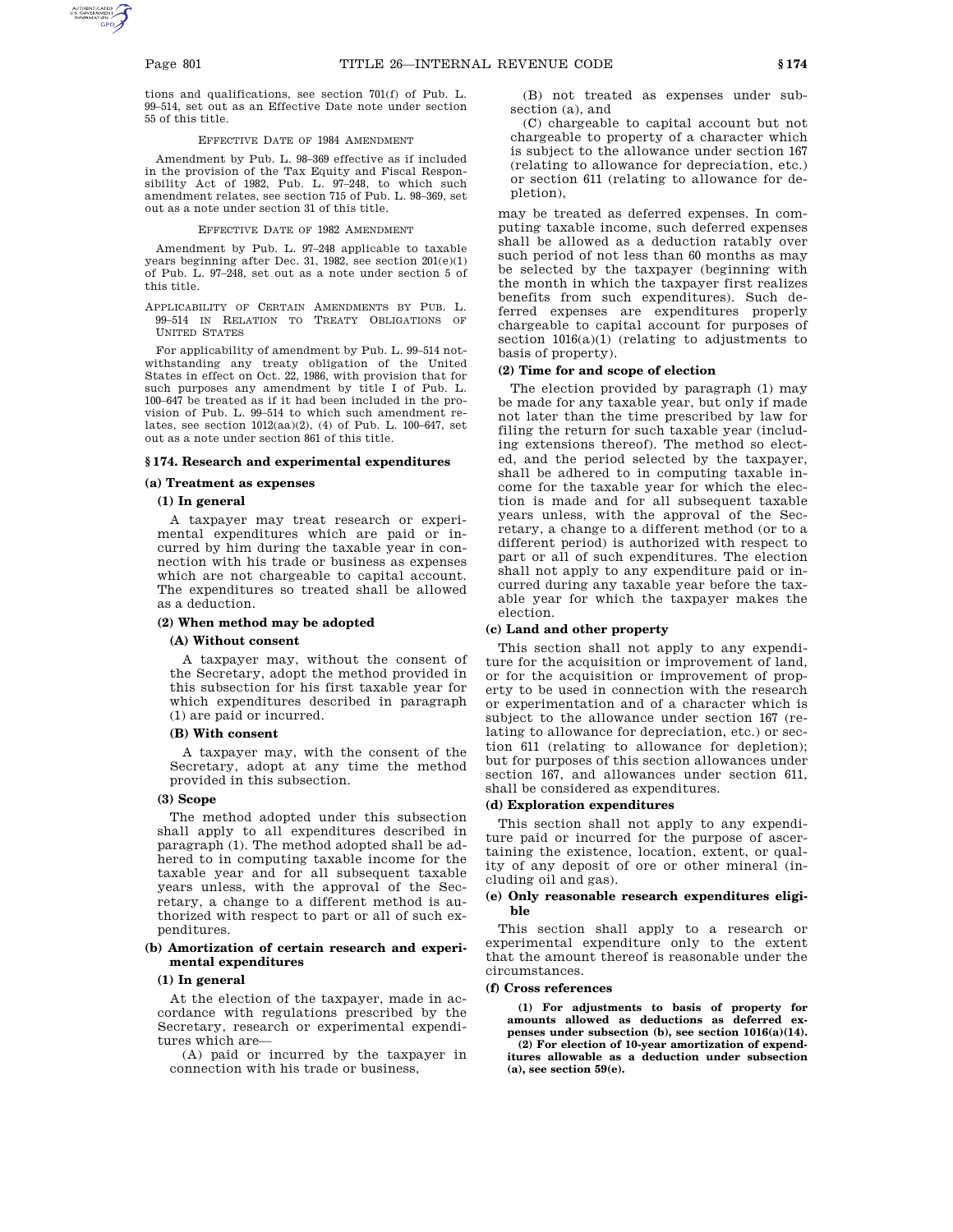tions and qualifications, see section 701(f) of Pub. L. 99–514, set out as an Effective Date note under section 55 of this title.

### EFFECTIVE DATE OF 1984 AMENDMENT

Amendment by Pub. L. 98–369 effective as if included in the provision of the Tax Equity and Fiscal Responsibility Act of 1982, Pub. L. 97–248, to which such amendment relates, see section 715 of Pub. L. 98–369, set out as a note under section 31 of this title.

## EFFECTIVE DATE OF 1982 AMENDMENT

Amendment by Pub. L. 97–248 applicable to taxable years beginning after Dec. 31, 1982, see section 201(e)(1) of Pub. L. 97–248, set out as a note under section 5 of this title.

APPLICABILITY OF CERTAIN AMENDMENTS BY PUB. L. 99–514 IN RELATION TO TREATY OBLIGATIONS OF UNITED STATES

For applicability of amendment by Pub. L. 99–514 notwithstanding any treaty obligation of the United States in effect on Oct. 22, 1986, with provision that for such purposes any amendment by title I of Pub. L. 100–647 be treated as if it had been included in the provision of Pub. L. 99–514 to which such amendment relates, see section 1012(aa)(2), (4) of Pub. L. 100–647, set out as a note under section 861 of this title.

# **§ 174. Research and experimental expenditures**

## **(a) Treatment as expenses**

## **(1) In general**

A taxpayer may treat research or experimental expenditures which are paid or incurred by him during the taxable year in connection with his trade or business as expenses which are not chargeable to capital account. The expenditures so treated shall be allowed as a deduction.

# **(2) When method may be adopted**

# **(A) Without consent**

A taxpayer may, without the consent of the Secretary, adopt the method provided in this subsection for his first taxable year for which expenditures described in paragraph (1) are paid or incurred.

# **(B) With consent**

A taxpayer may, with the consent of the Secretary, adopt at any time the method provided in this subsection.

## **(3) Scope**

The method adopted under this subsection shall apply to all expenditures described in paragraph (1). The method adopted shall be adhered to in computing taxable income for the taxable year and for all subsequent taxable years unless, with the approval of the Secretary, a change to a different method is authorized with respect to part or all of such expenditures.

# **(b) Amortization of certain research and experimental expenditures**

## **(1) In general**

At the election of the taxpayer, made in accordance with regulations prescribed by the Secretary, research or experimental expenditures which are—

(A) paid or incurred by the taxpayer in connection with his trade or business,

(B) not treated as expenses under subsection (a), and

(C) chargeable to capital account but not chargeable to property of a character which is subject to the allowance under section 167 (relating to allowance for depreciation, etc.) or section 611 (relating to allowance for depletion),

may be treated as deferred expenses. In computing taxable income, such deferred expenses shall be allowed as a deduction ratably over such period of not less than 60 months as may be selected by the taxpayer (beginning with the month in which the taxpayer first realizes benefits from such expenditures). Such deferred expenses are expenditures properly chargeable to capital account for purposes of section 1016(a)(1) (relating to adjustments to basis of property).

# **(2) Time for and scope of election**

The election provided by paragraph (1) may be made for any taxable year, but only if made not later than the time prescribed by law for filing the return for such taxable year (including extensions thereof). The method so elected, and the period selected by the taxpayer, shall be adhered to in computing taxable income for the taxable year for which the election is made and for all subsequent taxable years unless, with the approval of the Secretary, a change to a different method (or to a different period) is authorized with respect to part or all of such expenditures. The election shall not apply to any expenditure paid or incurred during any taxable year before the taxable year for which the taxpayer makes the election.

## **(c) Land and other property**

This section shall not apply to any expenditure for the acquisition or improvement of land, or for the acquisition or improvement of property to be used in connection with the research or experimentation and of a character which is subject to the allowance under section 167 (relating to allowance for depreciation, etc.) or section 611 (relating to allowance for depletion); but for purposes of this section allowances under section 167, and allowances under section 611, shall be considered as expenditures.

# **(d) Exploration expenditures**

This section shall not apply to any expenditure paid or incurred for the purpose of ascertaining the existence, location, extent, or quality of any deposit of ore or other mineral (including oil and gas).

# **(e) Only reasonable research expenditures eligible**

This section shall apply to a research or experimental expenditure only to the extent that the amount thereof is reasonable under the circumstances.

## **(f) Cross references**

**(1) For adjustments to basis of property for amounts allowed as deductions as deferred expenses under subsection (b), see section 1016(a)(14). (2) For election of 10-year amortization of expend-**

**itures allowable as a deduction under subsection (a), see section 59(e).**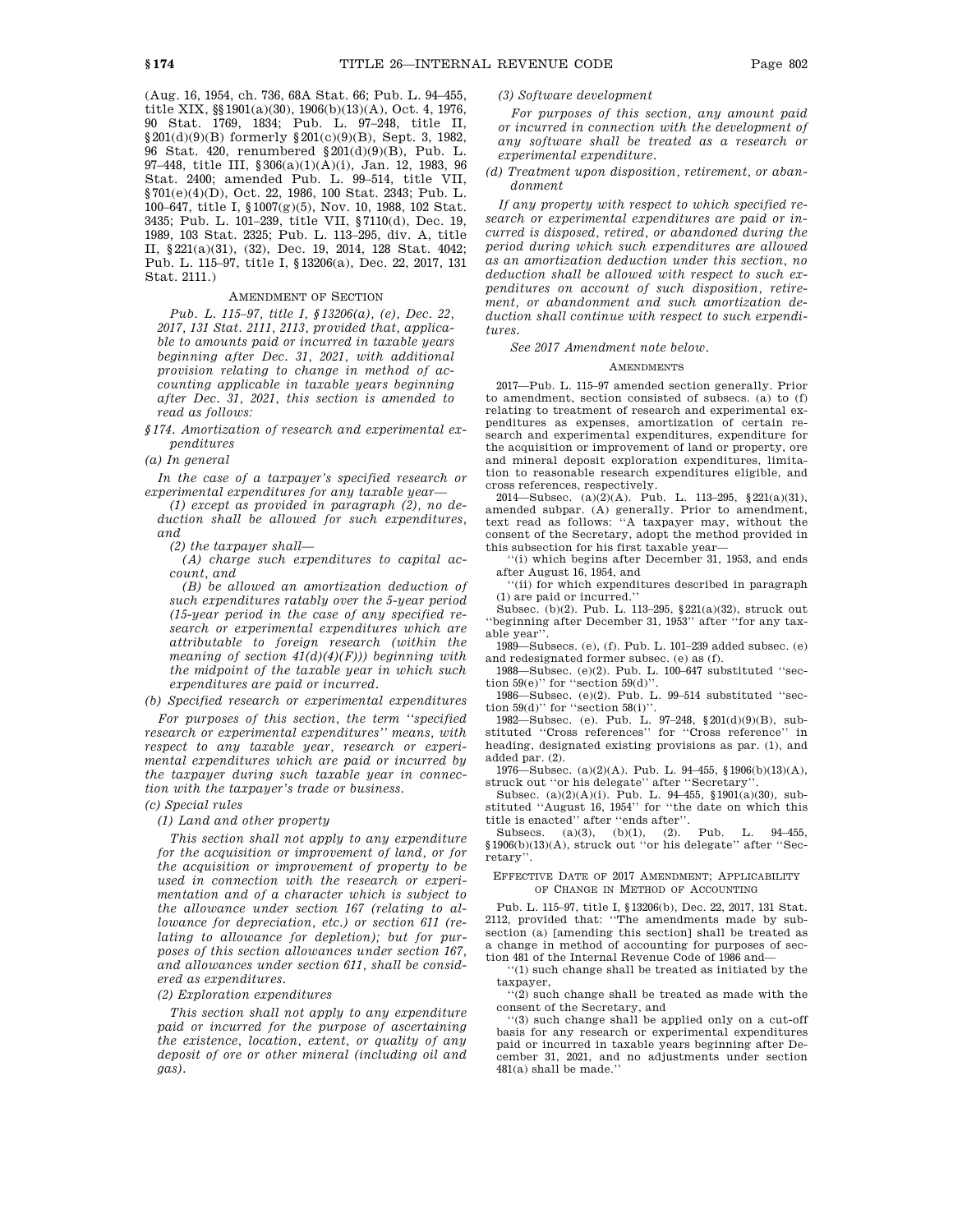(Aug. 16, 1954, ch. 736, 68A Stat. 66; Pub. L. 94–455, title XIX, §§1901(a)(30), 1906(b)(13)(A), Oct. 4, 1976, 90 Stat. 1769, 1834; Pub. L. 97–248, title II, §201(d)(9)(B) formerly §201(c)(9)(B), Sept. 3, 1982, 96 Stat. 420, renumbered §201(d)(9)(B), Pub. L. 97–448, title III, §306(a)(1)(A)(i), Jan. 12, 1983, 96 Stat. 2400; amended Pub. L. 99–514, title VII, §701(e)(4)(D), Oct. 22, 1986, 100 Stat. 2343; Pub. L. 100–647, title I, §1007(g)(5), Nov. 10, 1988, 102 Stat. 3435; Pub. L. 101–239, title VII, §7110(d), Dec. 19, 1989, 103 Stat. 2325; Pub. L. 113–295, div. A, title II, §221(a)(31), (32), Dec. 19, 2014, 128 Stat. 4042; Pub. L. 115–97, title I, §13206(a), Dec. 22, 2017, 131 Stat. 2111.)

# AMENDMENT OF SECTION

*Pub. L. 115–97, title I, §13206(a), (e), Dec. 22, 2017, 131 Stat. 2111, 2113, provided that, applicable to amounts paid or incurred in taxable years beginning after Dec. 31, 2021, with additional provision relating to change in method of accounting applicable in taxable years beginning after Dec. 31, 2021, this section is amended to read as follows:*

*§174. Amortization of research and experimental expenditures*

*(a) In general*

*In the case of a taxpayer's specified research or experimental expenditures for any taxable year—*

*(1) except as provided in paragraph (2), no deduction shall be allowed for such expenditures, and*

*(2) the taxpayer shall—*

*(A) charge such expenditures to capital account, and*

*(B) be allowed an amortization deduction of such expenditures ratably over the 5-year period (15-year period in the case of any specified research or experimental expenditures which are attributable to foreign research (within the meaning of section 41(d)(4)(F))) beginning with the midpoint of the taxable year in which such expenditures are paid or incurred.*

*(b) Specified research or experimental expenditures*

*For purposes of this section, the term ''specified research or experimental expenditures'' means, with respect to any taxable year, research or experimental expenditures which are paid or incurred by the taxpayer during such taxable year in connection with the taxpayer's trade or business.*

# *(c) Special rules*

*(1) Land and other property*

*This section shall not apply to any expenditure for the acquisition or improvement of land, or for the acquisition or improvement of property to be used in connection with the research or experimentation and of a character which is subject to the allowance under section 167 (relating to allowance for depreciation, etc.) or section 611 (relating to allowance for depletion); but for purposes of this section allowances under section 167, and allowances under section 611, shall be considered as expenditures.*

*(2) Exploration expenditures*

*This section shall not apply to any expenditure paid or incurred for the purpose of ascertaining the existence, location, extent, or quality of any deposit of ore or other mineral (including oil and gas).*

# *(3) Software development*

*For purposes of this section, any amount paid or incurred in connection with the development of any software shall be treated as a research or experimental expenditure.*

# *(d) Treatment upon disposition, retirement, or abandonment*

*If any property with respect to which specified research or experimental expenditures are paid or incurred is disposed, retired, or abandoned during the period during which such expenditures are allowed as an amortization deduction under this section, no deduction shall be allowed with respect to such expenditures on account of such disposition, retirement, or abandonment and such amortization deduction shall continue with respect to such expenditures.*

## *See 2017 Amendment note below.*

## AMENDMENTS

2017—Pub. L. 115–97 amended section generally. Prior to amendment, section consisted of subsecs. (a) to (f) relating to treatment of research and experimental expenditures as expenses, amortization of certain research and experimental expenditures, expenditure for the acquisition or improvement of land or property, ore and mineral deposit exploration expenditures, limitation to reasonable research expenditures eligible, and cross references, respectively.

2014—Subsec. (a)(2)(A). Pub. L. 113–295, §221(a)(31), amended subpar. (A) generally. Prior to amendment, text read as follows: ''A taxpayer may, without the consent of the Secretary, adopt the method provided in this subsection for his first taxable year—

''(i) which begins after December 31, 1953, and ends after August 16, 1954, and

''(ii) for which expenditures described in paragraph (1) are paid or incurred.''

Subsec. (b)(2). Pub. L. 113–295, §221(a)(32), struck out beginning after December 31, 1953" after "for any taxable year''.

1989—Subsecs. (e), (f). Pub. L. 101–239 added subsec. (e) and redesignated former subsec. (e) as (f).

1988—Subsec. (e)(2). Pub. L. 100–647 substituted ''section 59(e)'' for ''section 59(d)''.

1986—Subsec. (e)(2). Pub. L. 99–514 substituted ''section  $59(d)$ " for "section  $58(i)$ ".

1982—Subsec. (e). Pub. L. 97–248, §201(d)(9)(B), substituted ''Cross references'' for ''Cross reference'' in heading, designated existing provisions as par. (1), and added par. (2).

1976—Subsec. (a)(2)(A). Pub. L. 94–455, §1906(b)(13)(A), struck out ''or his delegate'' after ''Secretary''.

Subsec. (a)(2)(A)(i). Pub. L. 94–455, §1901(a)(30), substituted ''August 16, 1954'' for ''the date on which this title is enacted'' after ''ends after''.

Subsecs. (a)(3), (b)(1), (2). Pub. L. 94–455, §1906(b)(13)(A), struck out ''or his delegate'' after ''Secretary''.

### EFFECTIVE DATE OF 2017 AMENDMENT; APPLICABILITY OF CHANGE IN METHOD OF ACCOUNTING

Pub. L. 115–97, title I, §13206(b), Dec. 22, 2017, 131 Stat. 2112, provided that: ''The amendments made by subsection (a) [amending this section] shall be treated as a change in method of accounting for purposes of section 481 of the Internal Revenue Code of 1986 and—

''(1) such change shall be treated as initiated by the taxpayer,

''(2) such change shall be treated as made with the consent of the Secretary, and

''(3) such change shall be applied only on a cut-off basis for any research or experimental expenditures paid or incurred in taxable years beginning after December 31, 2021, and no adjustments under section 481(a) shall be made.''